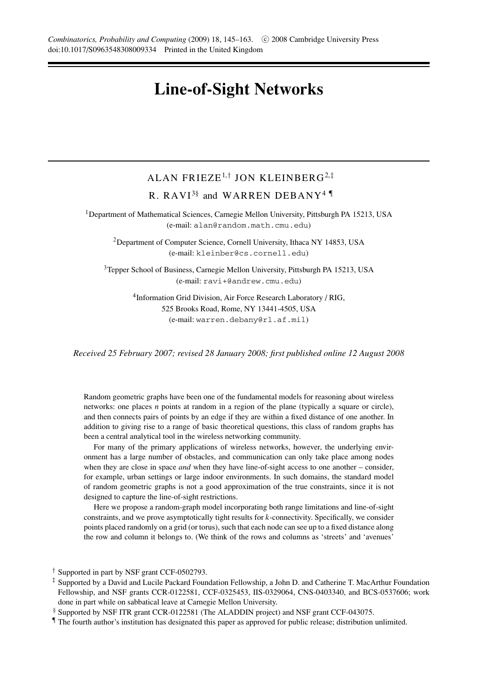# **Line-of-Sight Networks**

# ALAN FRIEZE1*,*† JON KLEINBERG2*,*‡ R. RAVI<sup>3§</sup> and WARREN DEBANY<sup>4</sup>

<sup>1</sup>Department of Mathematical Sciences, Carnegie Mellon University, Pittsburgh PA 15213, USA (e-mail: alan@random.math.cmu.edu)

<sup>2</sup>Department of Computer Science, Cornell University, Ithaca NY 14853, USA (e-mail: kleinber@cs.cornell.edu)

<sup>3</sup>Tepper School of Business, Carnegie Mellon University, Pittsburgh PA 15213, USA (e-mail: ravi+@andrew.cmu.edu)

> <sup>4</sup>Information Grid Division, Air Force Research Laboratory / RIG, 525 Brooks Road, Rome, NY 13441-4505, USA (e-mail: warren.debany@rl.af.mil)

*Received 25 February 2007; revised 28 January 2008; first published online 12 August 2008*

Random geometric graphs have been one of the fundamental models for reasoning about wireless networks: one places *n* points at random in a region of the plane (typically a square or circle), and then connects pairs of points by an edge if they are within a fixed distance of one another. In addition to giving rise to a range of basic theoretical questions, this class of random graphs has been a central analytical tool in the wireless networking community.

For many of the primary applications of wireless networks, however, the underlying environment has a large number of obstacles, and communication can only take place among nodes when they are close in space *and* when they have line-of-sight access to one another – consider, for example, urban settings or large indoor environments. In such domains, the standard model of random geometric graphs is not a good approximation of the true constraints, since it is not designed to capture the line-of-sight restrictions.

Here we propose a random-graph model incorporating both range limitations and line-of-sight constraints, and we prove asymptotically tight results for *k*-connectivity. Specifically, we consider points placed randomly on a grid (or torus), such that each node can see up to a fixed distance along the row and column it belongs to. (We think of the rows and columns as 'streets' and 'avenues'

<sup>†</sup> Supported in part by NSF grant CCF-0502793.

<sup>‡</sup> Supported by a David and Lucile Packard Foundation Fellowship, a John D. and Catherine T. MacArthur Foundation Fellowship, and NSF grants CCR-0122581, CCF-0325453, IIS-0329064, CNS-0403340, and BCS-0537606; work done in part while on sabbatical leave at Carnegie Mellon University.

<sup>§</sup> Supported by NSF ITR grant CCR-0122581 (The ALADDIN project) and NSF grant CCF-043075.

<sup>¶</sup> The fourth author's institution has designated this paper as approved for public release; distribution unlimited.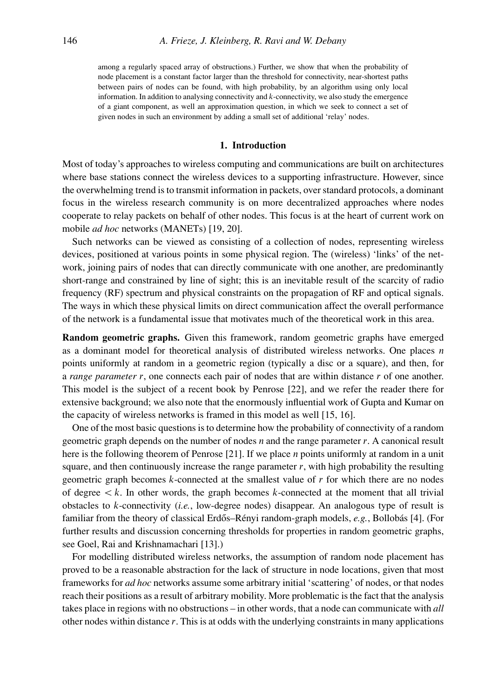among a regularly spaced array of obstructions.) Further, we show that when the probability of node placement is a constant factor larger than the threshold for connectivity, near-shortest paths between pairs of nodes can be found, with high probability, by an algorithm using only local information. In addition to analysing connectivity and *k*-connectivity, we also study the emergence of a giant component, as well an approximation question, in which we seek to connect a set of given nodes in such an environment by adding a small set of additional 'relay' nodes.

# **1. Introduction**

Most of today's approaches to wireless computing and communications are built on architectures where base stations connect the wireless devices to a supporting infrastructure. However, since the overwhelming trend is to transmit information in packets, over standard protocols, a dominant focus in the wireless research community is on more decentralized approaches where nodes cooperate to relay packets on behalf of other nodes. This focus is at the heart of current work on mobile *ad hoc* networks (MANETs) [19, 20].

Such networks can be viewed as consisting of a collection of nodes, representing wireless devices, positioned at various points in some physical region. The (wireless) 'links' of the network, joining pairs of nodes that can directly communicate with one another, are predominantly short-range and constrained by line of sight; this is an inevitable result of the scarcity of radio frequency (RF) spectrum and physical constraints on the propagation of RF and optical signals. The ways in which these physical limits on direct communication affect the overall performance of the network is a fundamental issue that motivates much of the theoretical work in this area.

**Random geometric graphs.** Given this framework, random geometric graphs have emerged as a dominant model for theoretical analysis of distributed wireless networks. One places *n* points uniformly at random in a geometric region (typically a disc or a square), and then, for a *range parameter r*, one connects each pair of nodes that are within distance *r* of one another. This model is the subject of a recent book by Penrose [22], and we refer the reader there for extensive background; we also note that the enormously influential work of Gupta and Kumar on the capacity of wireless networks is framed in this model as well [15, 16].

One of the most basic questions is to determine how the probability of connectivity of a random geometric graph depends on the number of nodes *n* and the range parameter *r*. A canonical result here is the following theorem of Penrose [21]. If we place *n* points uniformly at random in a unit square, and then continuously increase the range parameter *r*, with high probability the resulting geometric graph becomes *k*-connected at the smallest value of *r* for which there are no nodes of degree  $\lt k$ . In other words, the graph becomes *k*-connected at the moment that all trivial obstacles to *k*-connectivity (*i.e.*, low-degree nodes) disappear. An analogous type of result is familiar from the theory of classical Erdős–Rényi random-graph models, e.g., Bollobás [4]. (For further results and discussion concerning thresholds for properties in random geometric graphs, see Goel, Rai and Krishnamachari [13].)

For modelling distributed wireless networks, the assumption of random node placement has proved to be a reasonable abstraction for the lack of structure in node locations, given that most frameworks for *ad hoc* networks assume some arbitrary initial 'scattering' of nodes, or that nodes reach their positions as a result of arbitrary mobility. More problematic is the fact that the analysis takes place in regions with no obstructions – in other words, that a node can communicate with *all* other nodes within distance *r*. This is at odds with the underlying constraints in many applications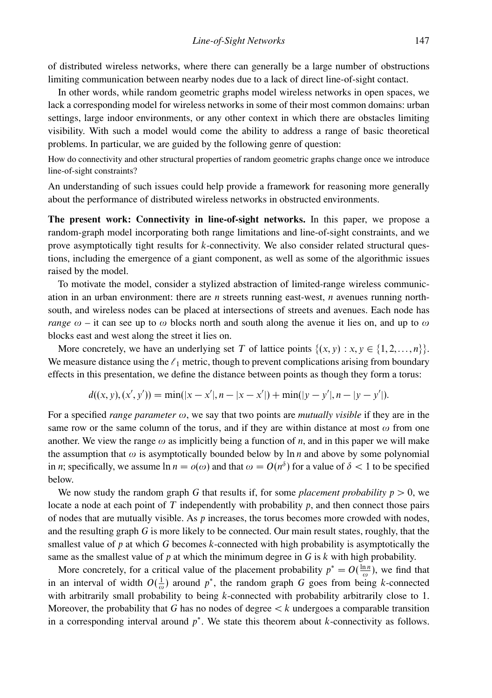of distributed wireless networks, where there can generally be a large number of obstructions limiting communication between nearby nodes due to a lack of direct line-of-sight contact.

In other words, while random geometric graphs model wireless networks in open spaces, we lack a corresponding model for wireless networks in some of their most common domains: urban settings, large indoor environments, or any other context in which there are obstacles limiting visibility. With such a model would come the ability to address a range of basic theoretical problems. In particular, we are guided by the following genre of question:

How do connectivity and other structural properties of random geometric graphs change once we introduce line-of-sight constraints?

An understanding of such issues could help provide a framework for reasoning more generally about the performance of distributed wireless networks in obstructed environments.

**The present work: Connectivity in line-of-sight networks.** In this paper, we propose a random-graph model incorporating both range limitations and line-of-sight constraints, and we prove asymptotically tight results for *k*-connectivity. We also consider related structural questions, including the emergence of a giant component, as well as some of the algorithmic issues raised by the model.

To motivate the model, consider a stylized abstraction of limited-range wireless communication in an urban environment: there are *n* streets running east-west, *n* avenues running northsouth, and wireless nodes can be placed at intersections of streets and avenues. Each node has *range*  $\omega$  – it can see up to  $\omega$  blocks north and south along the avenue it lies on, and up to  $\omega$ blocks east and west along the street it lies on.

More concretely, we have an underlying set *T* of lattice points  $\{(x, y) : x, y \in \{1, 2, ..., n\}\}.$ We measure distance using the  $\ell_1$  metric, though to prevent complications arising from boundary effects in this presentation, we define the distance between points as though they form a torus:

$$
d((x, y), (x', y')) = \min(|x - x'|, n - |x - x'|) + \min(|y - y'|, n - |y - y'|).
$$

For a specified *range parameter ω*, we say that two points are *mutually visible* if they are in the same row or the same column of the torus, and if they are within distance at most  $\omega$  from one another. We view the range  $\omega$  as implicitly being a function of *n*, and in this paper we will make the assumption that  $\omega$  is asymptotically bounded below by ln *n* and above by some polynomial in *n*; specifically, we assume  $\ln n = o(\omega)$  and that  $\omega = O(n^{\delta})$  for a value of  $\delta < 1$  to be specified below.

We now study the random graph *G* that results if, for some *placement probability*  $p > 0$ , we locate a node at each point of *T* independently with probability *p*, and then connect those pairs of nodes that are mutually visible. As *p* increases, the torus becomes more crowded with nodes, and the resulting graph *G* is more likely to be connected. Our main result states, roughly, that the smallest value of *p* at which *G* becomes *k*-connected with high probability is asymptotically the same as the smallest value of  $p$  at which the minimum degree in  $G$  is  $k$  with high probability.

More concretely, for a critical value of the placement probability  $p^* = O(\frac{\ln n}{\omega})$ , we find that in an interval of width  $O(\frac{1}{\omega})$  around  $p^*$ , the random graph *G* goes from being *k*-connected with arbitrarily small probability to being *k*-connected with probability arbitrarily close to 1. Moreover, the probability that *G* has no nodes of degree *< k* undergoes a comparable transition in a corresponding interval around *p*<sup>∗</sup>. We state this theorem about *k*-connectivity as follows.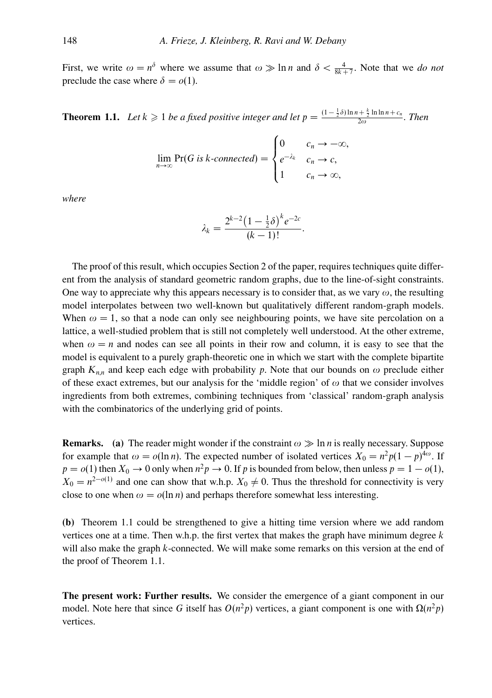First, we write  $\omega = n^{\delta}$  where we assume that  $\omega \gg \ln n$  and  $\delta < \frac{4}{8k+7}$ . Note that we *do not* preclude the case where  $\delta = o(1)$ .

**Theorem 1.1.** Let  $k \ge 1$  be a fixed positive integer and let  $p = \frac{(1 - \frac{1}{2}\delta)\ln n + \frac{k}{2}\ln \ln n + c_n}{2\omega}$ . Then

$$
\lim_{n \to \infty} \Pr(G \text{ is } k\text{-connected}) = \begin{cases} 0 & c_n \to -\infty, \\ e^{-\lambda_k} & c_n \to c, \\ 1 & c_n \to \infty, \end{cases}
$$

*where*

$$
\lambda_k = \frac{2^{k-2} (1 - \frac{1}{2} \delta)^k e^{-2c}}{(k-1)!}.
$$

The proof of this result, which occupies Section 2 of the paper, requires techniques quite different from the analysis of standard geometric random graphs, due to the line-of-sight constraints. One way to appreciate why this appears necessary is to consider that, as we vary *ω*, the resulting model interpolates between two well-known but qualitatively different random-graph models. When  $\omega = 1$ , so that a node can only see neighbouring points, we have site percolation on a lattice, a well-studied problem that is still not completely well understood. At the other extreme, when  $\omega = n$  and nodes can see all points in their row and column, it is easy to see that the model is equivalent to a purely graph-theoretic one in which we start with the complete bipartite graph  $K_{n,n}$  and keep each edge with probability p. Note that our bounds on  $\omega$  preclude either of these exact extremes, but our analysis for the 'middle region' of *ω* that we consider involves ingredients from both extremes, combining techniques from 'classical' random-graph analysis with the combinatorics of the underlying grid of points.

**Remarks.** (a) The reader might wonder if the constraint  $\omega \gg \ln n$  is really necessary. Suppose for example that  $\omega = o(\ln n)$ . The expected number of isolated vertices  $X_0 = n^2 p(1-p)^{4\omega}$ . If  $p = o(1)$  then  $X_0 \to 0$  only when  $n^2p \to 0$ . If *p* is bounded from below, then unless  $p = 1 - o(1)$ ,  $X_0 = n^{2-o(1)}$  and one can show that w.h.p.  $X_0 \neq 0$ . Thus the threshold for connectivity is very close to one when  $\omega = o(\ln n)$  and perhaps therefore somewhat less interesting.

**(b)** Theorem 1.1 could be strengthened to give a hitting time version where we add random vertices one at a time. Then w.h.p. the first vertex that makes the graph have minimum degree *k* will also make the graph *k*-connected. We will make some remarks on this version at the end of the proof of Theorem 1.1.

**The present work: Further results.** We consider the emergence of a giant component in our model. Note here that since *G* itself has  $O(n^2p)$  vertices, a giant component is one with  $Ω(n^2p)$ vertices.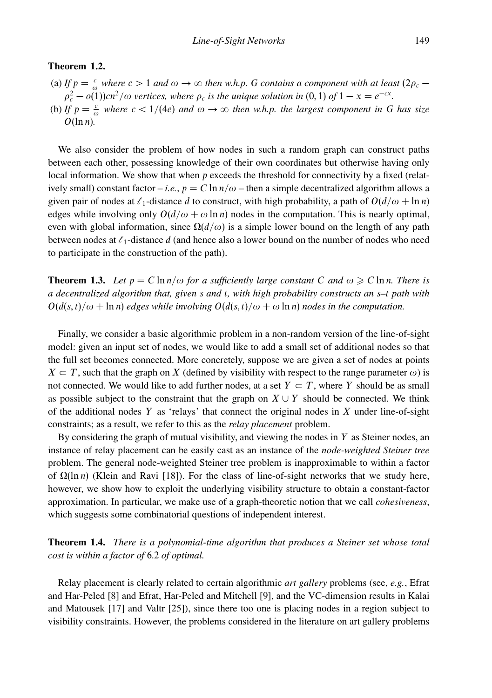# **Theorem 1.2.**

- (a) *If*  $p = \frac{c}{\omega}$  *where*  $c > 1$  *and*  $\omega \to \infty$  *then w.h.p. G contains a component with at least* (2 $\rho_c$  −  $\rho_c^2 - o(1)$ )*cn*<sup>2</sup>/ω *vertices, where*  $\rho_c$  *is the unique solution in* (0*,* 1) *of* 1 − *x* =  $e^{-cx}$ *.*
- (b) *If*  $p = \frac{c}{\omega}$  *where*  $c < 1/(4e)$  *and*  $\omega \to \infty$  *then w.h.p. the largest component in G has size O*(ln *n*)*.*

We also consider the problem of how nodes in such a random graph can construct paths between each other, possessing knowledge of their own coordinates but otherwise having only local information. We show that when *p* exceeds the threshold for connectivity by a fixed (relatively small) constant factor – *i.e.*,  $p = C \ln n/\omega$  – then a simple decentralized algorithm allows a given pair of nodes at  $\ell_1$ -distance *d* to construct, with high probability, a path of  $O(d/\omega + \ln n)$ edges while involving only  $O(d/\omega + \omega \ln n)$  nodes in the computation. This is nearly optimal, even with global information, since  $\Omega(d/\omega)$  is a simple lower bound on the length of any path between nodes at  $\ell_1$ -distance *d* (and hence also a lower bound on the number of nodes who need to participate in the construction of the path).

**Theorem 1.3.** Let  $p = C \ln n/\omega$  for a sufficiently large constant  $C$  and  $\omega \geq C \ln n$ . There is *a decentralized algorithm that, given s and t, with high probability constructs an s–t path with*  $O(d(s,t)/\omega + \ln n)$  *edges while involving*  $O(d(s,t)/\omega + \omega \ln n)$  *nodes in the computation.* 

Finally, we consider a basic algorithmic problem in a non-random version of the line-of-sight model: given an input set of nodes, we would like to add a small set of additional nodes so that the full set becomes connected. More concretely, suppose we are given a set of nodes at points  $X \subseteq T$ , such that the graph on *X* (defined by visibility with respect to the range parameter  $\omega$ ) is not connected. We would like to add further nodes, at a set  $Y \subset T$ , where *Y* should be as small as possible subject to the constraint that the graph on  $X \cup Y$  should be connected. We think of the additional nodes *Y* as 'relays' that connect the original nodes in *X* under line-of-sight constraints; as a result, we refer to this as the *relay placement* problem.

By considering the graph of mutual visibility, and viewing the nodes in *Y* as Steiner nodes, an instance of relay placement can be easily cast as an instance of the *node-weighted Steiner tree* problem. The general node-weighted Steiner tree problem is inapproximable to within a factor of  $Ω(ln n)$  (Klein and Ravi [18]). For the class of line-of-sight networks that we study here, however, we show how to exploit the underlying visibility structure to obtain a constant-factor approximation. In particular, we make use of a graph-theoretic notion that we call *cohesiveness*, which suggests some combinatorial questions of independent interest.

**Theorem 1.4.** *There is a polynomial-time algorithm that produces a Steiner set whose total cost is within a factor of* 6*.*2 *of optimal.*

Relay placement is clearly related to certain algorithmic *art gallery* problems (see, *e.g.*, Efrat and Har-Peled [8] and Efrat, Har-Peled and Mitchell [9], and the VC-dimension results in Kalai and Matousek [17] and Valtr [25]), since there too one is placing nodes in a region subject to visibility constraints. However, the problems considered in the literature on art gallery problems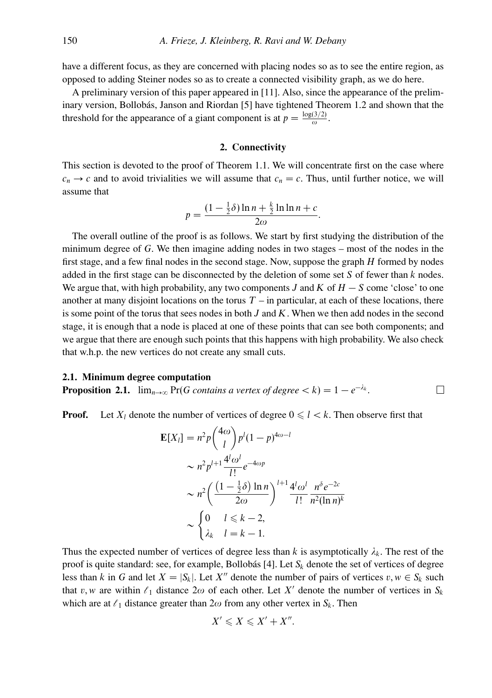have a different focus, as they are concerned with placing nodes so as to see the entire region, as opposed to adding Steiner nodes so as to create a connected visibility graph, as we do here.

A preliminary version of this paper appeared in [11]. Also, since the appearance of the preliminary version, Bollobás, Janson and Riordan [5] have tightened Theorem 1.2 and shown that the threshold for the appearance of a giant component is at  $p = \frac{\log(3/2)}{\omega}$ .

# **2. Connectivity**

This section is devoted to the proof of Theorem 1.1. We will concentrate first on the case where  $c_n \rightarrow c$  and to avoid trivialities we will assume that  $c_n = c$ . Thus, until further notice, we will assume that

$$
p = \frac{(1 - \frac{1}{2}\delta)\ln n + \frac{k}{2}\ln \ln n + c}{2\omega}.
$$

The overall outline of the proof is as follows. We start by first studying the distribution of the minimum degree of *G*. We then imagine adding nodes in two stages – most of the nodes in the first stage, and a few final nodes in the second stage. Now, suppose the graph *H* formed by nodes added in the first stage can be disconnected by the deletion of some set *S* of fewer than *k* nodes. We argue that, with high probability, any two components *J* and *K* of *H* − *S* come 'close' to one another at many disjoint locations on the torus  $T -$  in particular, at each of these locations, there is some point of the torus that sees nodes in both *J* and *K*. When we then add nodes in the second stage, it is enough that a node is placed at one of these points that can see both components; and we argue that there are enough such points that this happens with high probability. We also check that w.h.p. the new vertices do not create any small cuts.

# **2.1. Minimum degree computation**

**Proposition 2.1.**  $\lim_{n\to\infty} \Pr(G \text{ contains a vertex of degree} < k) = 1 - e^{-\lambda_k}$ .

**Proof.** Let  $X_l$  denote the number of vertices of degree  $0 \le l \le k$ . Then observe first that

 $\Box$ 

$$
\mathbf{E}[X_l] = n^2 p \binom{4\omega}{l} p^l (1-p)^{4\omega-l}
$$
  
\n
$$
\sim n^2 p^{l+1} \frac{4^l \omega^l}{l!} e^{-4\omega p}
$$
  
\n
$$
\sim n^2 \left( \frac{(1-\frac{1}{2}\delta) \ln n}{2\omega} \right)^{l+1} \frac{4^l \omega^l}{l!} \frac{n^{\delta} e^{-2c}}{n^2 (\ln n)^k}
$$
  
\n
$$
\sim \begin{cases} 0 & l \leq k-2, \\ \lambda_k & l = k-1. \end{cases}
$$

Thus the expected number of vertices of degree less than  $k$  is asymptotically  $\lambda_k$ . The rest of the proof is quite standard: see, for example, Bollobás [4]. Let  $S_k$  denote the set of vertices of degree less than *k* in *G* and let  $X = |S_k|$ . Let  $X''$  denote the number of pairs of vertices  $v, w \in S_k$  such that *v*, *w* are within  $\ell_1$  distance  $2\omega$  of each other. Let X' denote the number of vertices in  $S_k$ which are at  $\ell_1$  distance greater than  $2\omega$  from any other vertex in  $S_k$ . Then

$$
X'\leqslant X\leqslant X'+X''.
$$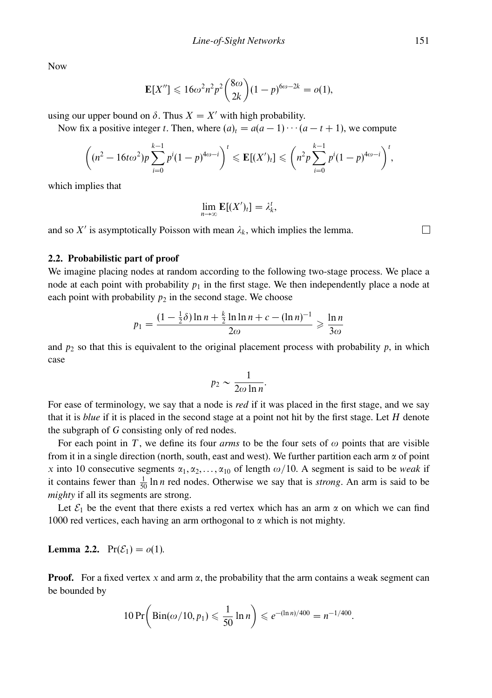Now

$$
\mathbf{E}[X''] \leq 16\omega^2 n^2 p^2 \binom{8\omega}{2k} (1-p)^{6\omega-2k} = o(1),
$$

using our upper bound on  $\delta$ . Thus  $X = X'$  with high probability.

Now fix a positive integer *t*. Then, where  $(a)_t = a(a-1)\cdots(a-t+1)$ , we compute

$$
\left((n^2-16t\omega^2)p\sum_{i=0}^{k-1}p^i(1-p)^{4\omega-i}\right)^t\leqslant \mathbf{E}[(X')_t]\leqslant \left(n^2p\sum_{i=0}^{k-1}p^i(1-p)^{4\omega-i}\right)^t,
$$

which implies that

$$
\lim_{n\to\infty} \mathbf{E}[(X')_t] = \lambda_k^t,
$$

and so  $X'$  is asymptotically Poisson with mean  $\lambda_k$ , which implies the lemma.

# **2.2. Probabilistic part of proof**

We imagine placing nodes at random according to the following two-stage process. We place a node at each point with probability  $p_1$  in the first stage. We then independently place a node at each point with probability  $p_2$  in the second stage. We choose

$$
p_1 = \frac{(1 - \frac{1}{2}\delta) \ln n + \frac{k}{2} \ln \ln n + c - (\ln n)^{-1}}{2\omega} \geq \frac{\ln n}{3\omega}
$$

and  $p_2$  so that this is equivalent to the original placement process with probability  $p$ , in which case

$$
p_2 \sim \frac{1}{2\omega \ln n}.
$$

For ease of terminology, we say that a node is *red* if it was placed in the first stage, and we say that it is *blue* if it is placed in the second stage at a point not hit by the first stage. Let *H* denote the subgraph of *G* consisting only of red nodes.

For each point in *T*, we define its four *arms* to be the four sets of  $\omega$  points that are visible from it in a single direction (north, south, east and west). We further partition each arm *α* of point *x* into 10 consecutive segments  $\alpha_1, \alpha_2, \ldots, \alpha_{10}$  of length  $\omega/10$ . A segment is said to be *weak* if it contains fewer than  $\frac{1}{50}$  ln *n* red nodes. Otherwise we say that is *strong*. An arm is said to be *mighty* if all its segments are strong.

Let  $\mathcal{E}_1$  be the event that there exists a red vertex which has an arm  $\alpha$  on which we can find 1000 red vertices, each having an arm orthogonal to *α* which is not mighty.

# **Lemma 2.2.**  $Pr(\mathcal{E}_1) = o(1)$ .

**Proof.** For a fixed vertex *x* and arm *α*, the probability that the arm contains a weak segment can be bounded by

$$
10\Pr\bigg(\operatorname{Bin}(\omega/10, p_1) \leq \frac{1}{50}\ln n\bigg) \leqslant e^{-(\ln n)/400} = n^{-1/400}.
$$

 $\Box$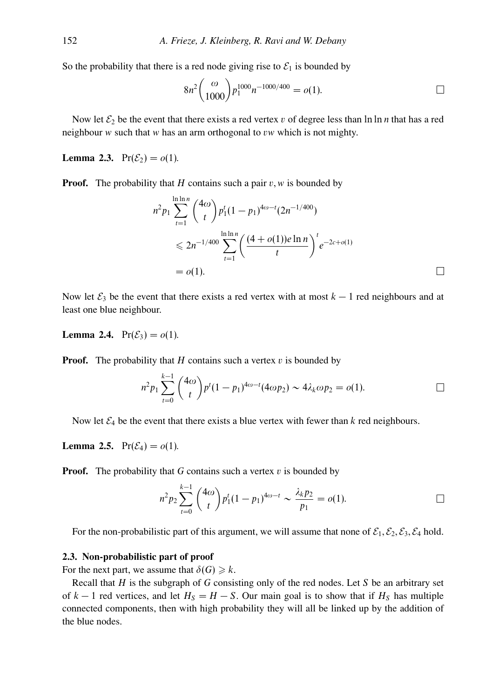So the probability that there is a red node giving rise to  $\mathcal{E}_1$  is bounded by

$$
8n^2 \binom{\omega}{1000} p_1^{1000} n^{-1000/400} = o(1).
$$

Now let  $\mathcal{E}_2$  be the event that there exists a red vertex *v* of degree less than  $\ln \ln n$  that has a red neighbour *w* such that *w* has an arm orthogonal to *vw* which is not mighty.

**Lemma 2.3.**  $Pr(\mathcal{E}_2) = o(1)$ .

**Proof.** The probability that *H* contains such a pair  $v, w$  is bounded by

$$
n^2 p_1 \sum_{t=1}^{\ln \ln n} {4\omega \choose t} p_1^t (1-p_1)^{4\omega-t} (2n^{-1/400})
$$
  
\n
$$
\leq 2n^{-1/400} \sum_{t=1}^{\ln \ln n} \left( \frac{(4+o(1))e \ln n}{t} \right)^t e^{-2c+o(1)}
$$
  
\n= o(1).

Now let  $\mathcal{E}_3$  be the event that there exists a red vertex with at most  $k-1$  red neighbours and at least one blue neighbour.

**Lemma 2.4.**  $Pr(\mathcal{E}_3) = o(1)$ .

**Proof.** The probability that *H* contains such a vertex *v* is bounded by

$$
n^2 p_1 \sum_{t=0}^{k-1} {4\omega \choose t} p^t (1-p_1)^{4\omega-t} (4\omega p_2) \sim 4\lambda_k \omega p_2 = o(1).
$$

Now let  $\mathcal{E}_4$  be the event that there exists a blue vertex with fewer than  $k$  red neighbours.

**Lemma 2.5.**  $Pr(\mathcal{E}_4) = o(1)$ .

**Proof.** The probability that *G* contains such a vertex *v* is bounded by

$$
n^2 p_2 \sum_{t=0}^{k-1} {4\omega \choose t} p_1^t (1-p_1)^{4\omega-t} \sim \frac{\lambda_k p_2}{p_1} = o(1).
$$

For the non-probabilistic part of this argument, we will assume that none of  $\mathcal{E}_1$ ,  $\mathcal{E}_2$ ,  $\mathcal{E}_3$ ,  $\mathcal{E}_4$  hold.

# **2.3. Non-probabilistic part of proof**

For the next part, we assume that  $\delta(G) \geq k$ .

Recall that *H* is the subgraph of *G* consisting only of the red nodes. Let *S* be an arbitrary set of  $k-1$  red vertices, and let  $H_S = H - S$ . Our main goal is to show that if  $H_S$  has multiple connected components, then with high probability they will all be linked up by the addition of the blue nodes.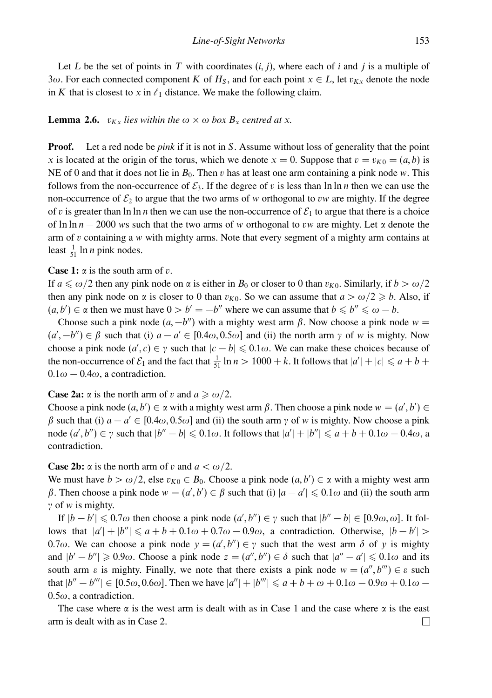Let L be the set of points in T with coordinates  $(i, j)$ , where each of i and j is a multiple of 3*ω*. For each connected component *K* of  $H_S$ , and for each point  $x \in L$ , let  $v_{Kx}$  denote the node in *K* that is closest to *x* in  $\ell_1$  distance. We make the following claim.

# **Lemma 2.6.**  $v_{Kx}$  *lies within the*  $\omega \times \omega$  *box*  $B_x$  *centred at x.*

**Proof.** Let a red node be *pink* if it is not in *S*. Assume without loss of generality that the point *x* is located at the origin of the torus, which we denote  $x = 0$ . Suppose that  $v = v_{K0} = (a, b)$  is NE of 0 and that it does not lie in *B*0. Then *v* has at least one arm containing a pink node *w*. This follows from the non-occurrence of  $\mathcal{E}_3$ . If the degree of *v* is less than ln ln *n* then we can use the non-occurrence of  $\mathcal{E}_2$  to argue that the two arms of *w* orthogonal to *vw* are mighty. If the degree of *v* is greater than ln ln *n* then we can use the non-occurrence of  $\mathcal{E}_1$  to argue that there is a choice of ln ln *n* − 2000 *w*s such that the two arms of *w* orthogonal to *vw* are mighty. Let *α* denote the arm of *v* containing a *w* with mighty arms. Note that every segment of a mighty arm contains at least  $\frac{1}{51}$  ln *n* pink nodes.

#### **Case 1:** *α* is the south arm of *v*.

If  $a \le \omega/2$  then any pink node on  $\alpha$  is either in  $B_0$  or closer to 0 than  $v_{K0}$ . Similarly, if  $b > \omega/2$ then any pink node on  $\alpha$  is closer to 0 than  $v_{K0}$ . So we can assume that  $a > \omega/2 \ge b$ . Also, if  $(a, b') \in \alpha$  then we must have  $0 > b' = -b''$  where we can assume that  $b \leq b'' \leq \omega - b$ .

Choose such a pink node  $(a, -b'')$  with a mighty west arm  $\beta$ . Now choose a pink node  $w =$  $(a', -b'') \in \beta$  such that (i)  $a - a' \in [0.4\omega, 0.5\omega]$  and (ii) the north arm  $\gamma$  of w is mighty. Now choose a pink node  $(a', c) \in \gamma$  such that  $|c - b| \leq 0.1\omega$ . We can make these choices because of the non-occurrence of  $\mathcal{E}_1$  and the fact that  $\frac{1}{51} \ln n > 1000 + k$ . It follows that  $|a'| + |c| \le a + b +$  $0.1\omega - 0.4\omega$ , a contradiction.

**Case 2a:**  $\alpha$  is the north arm of *v* and  $a \ge \omega/2$ .

Choose a pink node  $(a, b') \in \alpha$  with a mighty west arm  $\beta$ . Then choose a pink node  $w = (a', b') \in \alpha$ *β* such that (i)  $a - a' \in [0.4ω, 0.5ω]$  and (ii) the south arm *γ* of *w* is mighty. Now choose a pink node  $(a', b'') \in \gamma$  such that  $|b'' - b| \leq 0.1\omega$ . It follows that  $|a'| + |b''| \leq a + b + 0.1\omega - 0.4\omega$ , a contradiction.

#### **Case 2b:**  $\alpha$  is the north arm of *v* and  $a < \omega/2$ .

We must have  $b > \omega/2$ , else  $v_{K0} \in B_0$ . Choose a pink node  $(a, b') \in \alpha$  with a mighty west arm *β*. Then choose a pink node  $w = (a', b') \in \beta$  such that (i)  $|a - a'| \le 0.1\omega$  and (ii) the south arm *γ* of *w* is mighty.

If  $|b - b'| \le 0.7\omega$  then choose a pink node  $(a', b'') \in \gamma$  such that  $|b'' - b| \in [0.9\omega, \omega]$ . It follows that  $|a'| + |b''| \le a + b + 0.1\omega + 0.7\omega - 0.9\omega$ , a contradiction. Otherwise,  $|b - b'|$ 0.7 $\omega$ . We can choose a pink node  $y = (a', b'') \in \gamma$  such that the west arm  $\delta$  of y is mighty and  $|b' - b''| \ge 0.9\omega$ . Choose a pink node  $z = (a'', b'') \in \delta$  such that  $|a'' - a'| \le 0.1\omega$  and its south arm  $\varepsilon$  is mighty. Finally, we note that there exists a pink node  $w = (a'', b'') \in \varepsilon$  such  $\int$  that  $|b'' - b'''|$  ∈ [0.5*ω*, 0.6*ω*]. Then we have  $|a''| + |b'''|$  ≤ *a* + *b* + *ω* + 0.1*ω* − 0.9*ω* + 0.1*ω* − 0*.*5*ω*, a contradiction.

The case where  $\alpha$  is the west arm is dealt with as in Case 1 and the case where  $\alpha$  is the east arm is dealt with as in Case 2. $\Box$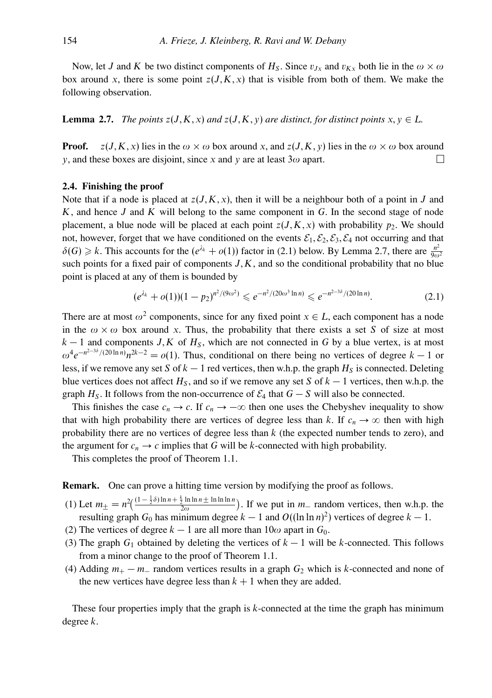Now, let *J* and *K* be two distinct components of  $H_S$ . Since  $v_{Jx}$  and  $v_{Kx}$  both lie in the  $\omega \times \omega$ box around x, there is some point  $z(J,K,x)$  that is visible from both of them. We make the following observation.

**Lemma 2.7.** *The points*  $z(J,K,x)$  *and*  $z(J,K,y)$  *are distinct, for distinct points*  $x, y \in L$ *.* 

**Proof.**  $z(J,K,x)$  lies in the  $\omega \times \omega$  box around *x*, and  $z(J,K,y)$  lies in the  $\omega \times \omega$  box around *y*, and these boxes are disjoint, since *x* and *y* are at least 3*ω* apart. П

# **2.4. Finishing the proof**

Note that if a node is placed at  $z(J,K,x)$ , then it will be a neighbour both of a point in *J* and *K*, and hence *J* and *K* will belong to the same component in *G*. In the second stage of node placement, a blue node will be placed at each point  $z(J,K,x)$  with probability  $p_2$ . We should not, however, forget that we have conditioned on the events  $\mathcal{E}_1, \mathcal{E}_2, \mathcal{E}_3, \mathcal{E}_4$  not occurring and that  $\delta(G) \ge k$ . This accounts for the  $(e^{\lambda_k} + o(1))$  factor in (2.1) below. By Lemma 2.7, there are  $\frac{n^2}{9\omega^2}$ such points for a fixed pair of components  $J, K$ , and so the conditional probability that no blue point is placed at any of them is bounded by

$$
(e^{\lambda_k} + o(1))(1 - p_2)^{n^2/(9\omega^2)} \leq e^{-n^2/(20\omega^3 \ln n)} \leq e^{-n^{2-3\delta}/(20\ln n)}.
$$
 (2.1)

There are at most  $\omega^2$  components, since for any fixed point  $x \in L$ , each component has a node in the  $\omega \times \omega$  box around x. Thus, the probability that there exists a set *S* of size at most  $k-1$  and components *J,K* of  $H<sub>S</sub>$ , which are not connected in *G* by a blue vertex, is at most  $\omega^4 e^{-n^{2-3\delta}/(20 \ln n)} n^{2k-2} = o(1)$ . Thus, conditional on there being no vertices of degree  $k-1$  or less, if we remove any set *S* of  $k - 1$  red vertices, then w.h.p. the graph  $H<sub>S</sub>$  is connected. Deleting blue vertices does not affect  $H_S$ , and so if we remove any set *S* of  $k - 1$  vertices, then w.h.p. the graph  $H_S$ . It follows from the non-occurrence of  $\mathcal{E}_4$  that  $G - S$  will also be connected.

This finishes the case  $c_n \to c$ . If  $c_n \to -\infty$  then one uses the Chebyshev inequality to show that with high probability there are vertices of degree less than *k*. If  $c_n \to \infty$  then with high probability there are no vertices of degree less than *k* (the expected number tends to zero), and the argument for  $c_n \to c$  implies that G will be *k*-connected with high probability.

This completes the proof of Theorem 1.1.

**Remark.** One can prove a hitting time version by modifying the proof as follows.

- (1) Let  $m_{\pm} = n^2 \left( \frac{(1 \frac{1}{2}\delta) \ln n + \frac{k}{2} \ln \ln n \pm \ln \ln \ln n}{2\omega} \right)$ . If we put in  $m_{-}$  random vertices, then w.h.p. the resulting graph  $G_0$  has minimum degree  $k - 1$  and  $O((\ln \ln n)^2)$  vertices of degree  $k - 1$ .
- (2) The vertices of degree  $k 1$  are all more than  $10\omega$  apart in  $G_0$ .
- (3) The graph  $G_1$  obtained by deleting the vertices of  $k-1$  will be *k*-connected. This follows from a minor change to the proof of Theorem 1.1.
- (4) Adding  $m_+ m_-$  random vertices results in a graph  $G_2$  which is *k*-connected and none of the new vertices have degree less than  $k + 1$  when they are added.

These four properties imply that the graph is *k*-connected at the time the graph has minimum degree *k*.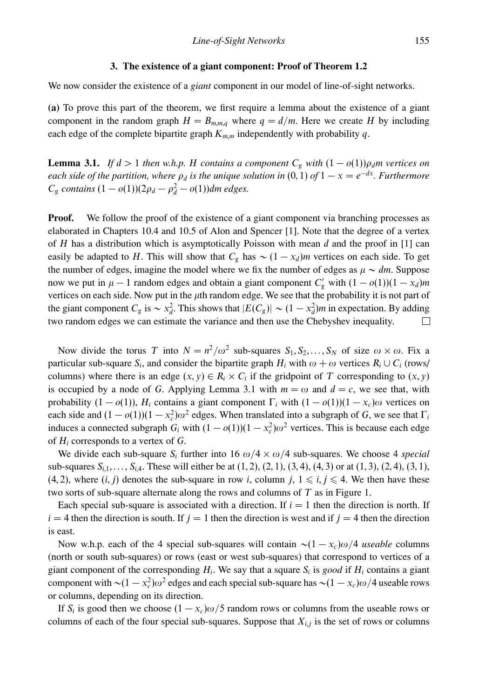#### **3. The existence of a giant component: Proof of Theorem 1.2**

We now consider the existence of a *giant* component in our model of line-of-sight networks.

**(a)** To prove this part of the theorem, we first require a lemma about the existence of a giant component in the random graph  $H = B_{m,m,q}$  where  $q = d/m$ . Here we create *H* by including each edge of the complete bipartite graph  $K_{m,m}$  independently with probability  $q$ .

**Lemma 3.1.** *If*  $d > 1$  *then w.h.p. H contains a component*  $C_g$  *with*  $(1 - o(1))\rho_d m$  *vertices on each side of the partition, where*  $\rho_d$  *is the unique solution in* (0, 1) *of*  $1 - x = e^{-dx}$ *. Furthermore*  $C_g$  *contains*  $(1 - o(1))(2\rho_d - \rho_d^2 - o(1))$ *dm edges.* 

**Proof.** We follow the proof of the existence of a giant component via branching processes as elaborated in Chapters 10.4 and 10.5 of Alon and Spencer [1]. Note that the degree of a vertex of *H* has a distribution which is asymptotically Poisson with mean *d* and the proof in [1] can easily be adapted to *H*. This will show that  $C_g$  has  $\sim (1 - x_d)m$  vertices on each side. To get the number of edges, imagine the model where we fix the number of edges as  $\mu \sim dm$ . Suppose now we put in  $\mu - 1$  random edges and obtain a giant component  $C'_g$  with  $(1 - o(1))(1 - x_d)m$ vertices on each side. Now put in the *μ*th random edge. We see that the probability it is not part of the giant component  $C_g$  is  $\sim x_d^2$ . This shows that  $|E(C_g)| \sim (1 - x_d^2)m$  in expectation. By adding two random edges we can estimate the variance and then use the Chebyshev inequality. П

Now divide the torus *T* into  $N = n^2/\omega^2$  sub-squares  $S_1, S_2, ..., S_N$  of size  $\omega \times \omega$ . Fix a particular sub-square  $S_i$ , and consider the bipartite graph  $H_i$  with  $\omega + \omega$  vertices  $R_i \cup C_i$  (rows/ columns) where there is an edge  $(x, y) \in R_i \times C_i$  if the gridpoint of *T* corresponding to  $(x, y)$ is occupied by a node of *G*. Applying Lemma 3.1 with  $m = \omega$  and  $d = c$ , we see that, with probability  $(1 - o(1))$ , *H<sub>i</sub>* contains a giant component  $\Gamma_i$  with  $(1 - o(1))(1 - x_c)\omega$  vertices on each side and  $(1 - o(1))(1 - x_c^2)\omega^2$  edges. When translated into a subgraph of *G*, we see that  $\Gamma_i$ induces a connected subgraph  $G_i$  with  $(1 - o(1))(1 - x_c^2)\omega^2$  vertices. This is because each edge of *Hi* corresponds to a vertex of *G*.

We divide each sub-square  $S_i$  further into 16  $\omega/4 \times \omega/4$  sub-squares. We choose 4 *special* sub-squares *Si,*1*,...,Si,*4. These will either be at (1*,* 2), (2*,* 1), (3*,* 4), (4*,* 3) or at (1*,* 3), (2*,* 4), (3*,* 1), (4, 2), where  $(i, j)$  denotes the sub-square in row *i*, column  $j, 1 \leq i, j \leq 4$ . We then have these two sorts of sub-square alternate along the rows and columns of *T* as in Figure 1.

Each special sub-square is associated with a direction. If  $i = 1$  then the direction is north. If  $i = 4$  then the direction is south. If  $j = 1$  then the direction is west and if  $j = 4$  then the direction is east.

Now w.h.p. each of the 4 special sub-squares will contain ∼(1 − *xc*)*ω/*4 *useable* columns (north or south sub-squares) or rows (east or west sub-squares) that correspond to vertices of a giant component of the corresponding  $H_i$ . We say that a square  $S_i$  is good if  $H_i$  contains a giant component with  $\sim (1 - x_c^2) \omega^2$  edges and each special sub-square has  $\sim (1 - x_c) \omega / 4$  useable rows or columns, depending on its direction.

If  $S_i$  is good then we choose  $(1 - x_c)\omega/5$  random rows or columns from the useable rows or columns of each of the four special sub-squares. Suppose that  $X_{i,j}$  is the set of rows or columns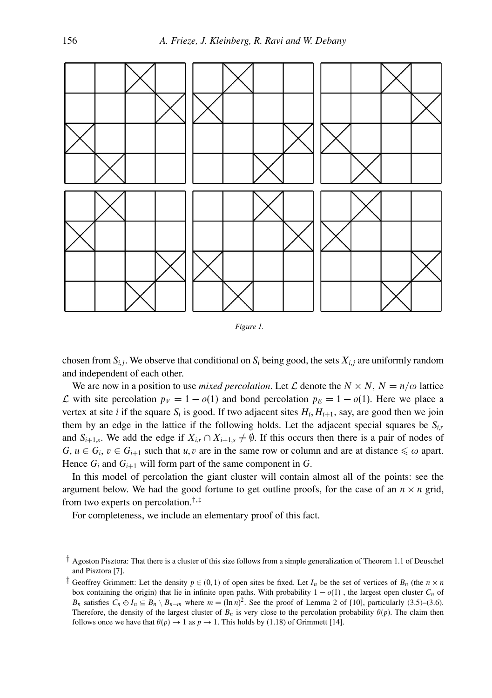

*Figure 1.*

chosen from  $S_i$ , We observe that conditional on  $S_i$  being good, the sets  $X_i$  are uniformly random and independent of each other.

We are now in a position to use *mixed percolation*. Let  $\mathcal L$  denote the  $N \times N$ ,  $N = n/\omega$  lattice *L* with site percolation  $p_V = 1 - o(1)$  and bond percolation  $p_E = 1 - o(1)$ . Here we place a vertex at site *i* if the square  $S_i$  is good. If two adjacent sites  $H_i, H_{i+1}$ , say, are good then we join them by an edge in the lattice if the following holds. Let the adjacent special squares be  $S_{ir}$ and  $S_{i+1,s}$ . We add the edge if  $X_{i,r} \cap X_{i+1,s} \neq \emptyset$ . If this occurs then there is a pair of nodes of *G*,  $u \in G_i$ ,  $v \in G_{i+1}$  such that *u*, *v* are in the same row or column and are at distance  $\leq \omega$  apart. Hence  $G_i$  and  $G_{i+1}$  will form part of the same component in  $G$ .

In this model of percolation the giant cluster will contain almost all of the points: see the argument below. We had the good fortune to get outline proofs, for the case of an  $n \times n$  grid, from two experts on percolation.†*,*‡

For completeness, we include an elementary proof of this fact.

<sup>†</sup> Agoston Pisztora: That there is a cluster of this size follows from a simple generalization of Theorem 1.1 of Deuschel and Pisztora [7].

<sup>&</sup>lt;sup> $\ddagger$ </sup> Geoffrey Grimmett: Let the density  $p \in (0,1)$  of open sites be fixed. Let  $I_n$  be the set of vertices of  $B_n$  (the  $n \times n$ box containing the origin) that lie in infinite open paths. With probability  $1 - o(1)$ , the largest open cluster  $C_n$  of *B<sub>n</sub>* satisfies  $C_n \oplus I_n \subseteq B_n \setminus B_{n-m}$  where  $m = (\ln n)^2$ . See the proof of Lemma 2 of [10], particularly (3.5)–(3.6). Therefore, the density of the largest cluster of  $B_n$  is very close to the percolation probability  $\theta(p)$ . The claim then follows once we have that  $\theta(p) \to 1$  as  $p \to 1$ . This holds by (1.18) of Grimmett [14].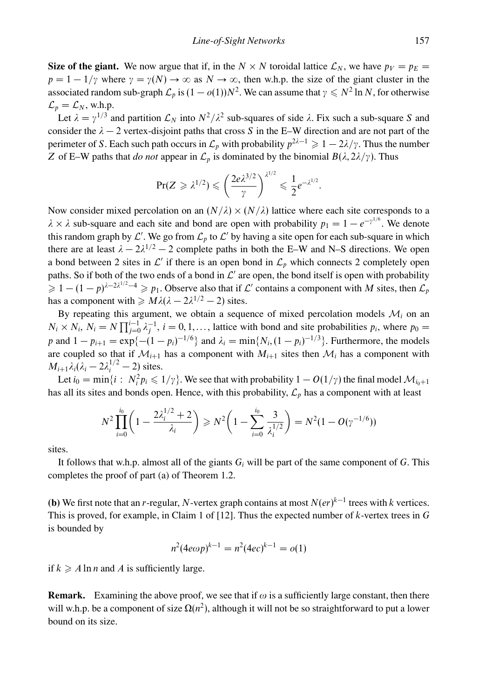**Size of the giant.** We now argue that if, in the *N* × *N* toroidal lattice  $\mathcal{L}_N$ , we have  $p_V = p_E =$  $p = 1 - 1/\gamma$  where  $\gamma = \gamma(N) \rightarrow \infty$  as  $N \rightarrow \infty$ , then w.h.p. the size of the giant cluster in the associated random sub-graph  $\mathcal{L}_p$  is  $(1 - o(1))N^2$ . We can assume that  $\gamma \leq N^2 \ln N$ , for otherwise  $\mathcal{L}_p = \mathcal{L}_N$ , w.h.p.

Let  $\lambda = y^{1/3}$  and partition  $\mathcal{L}_N$  into  $N^2/\lambda^2$  sub-squares of side  $\lambda$ . Fix such a sub-square *S* and consider the  $\lambda - 2$  vertex-disjoint paths that cross *S* in the E–W direction and are not part of the perimeter of *S*. Each such path occurs in  $\mathcal{L}_p$  with probability  $p^{2\lambda-1} \geq 1 - 2\lambda/\gamma$ . Thus the number *Z* of E–W paths that *do not* appear in  $\mathcal{L}_p$  is dominated by the binomial  $B(\lambda, 2\lambda/\gamma)$ . Thus

$$
\Pr(Z \geq \lambda^{1/2}) \leqslant \left(\frac{2e\lambda^{3/2}}{\gamma}\right)^{\lambda^{1/2}} \leqslant \frac{1}{2}e^{-\lambda^{1/2}}.
$$

Now consider mixed percolation on an  $(N/\lambda) \times (N/\lambda)$  lattice where each site corresponds to a  $\lambda \times \lambda$  sub-square and each site and bond are open with probability  $p_1 = 1 - e^{-\gamma^{1/6}}$ . We denote this random graph by  $\mathcal{L}'$ . We go from  $\mathcal{L}_p$  to  $\mathcal{L}'$  by having a site open for each sub-square in which there are at least  $\lambda - 2\lambda^{1/2} - 2$  complete paths in both the E–W and N–S directions. We open a bond between 2 sites in  $\mathcal{L}'$  if there is an open bond in  $\mathcal{L}_p$  which connects 2 completely open paths. So if both of the two ends of a bond in  $\mathcal{L}'$  are open, the bond itself is open with probability  $\geq 1 - (1 - p)^{\lambda - 2\lambda^{1/2} - 4} \geq p_1$ . Observe also that if L' contains a component with *M* sites, then  $\mathcal{L}_p$ has a component with  $\geq M\lambda(\lambda - 2\lambda^{1/2} - 2)$  sites.

By repeating this argument, we obtain a sequence of mixed percolation models  $\mathcal{M}_i$  on an  $N_i \times N_i$ ,  $N_i = N \prod_{j=0}^{i-1} \lambda_j^{-1}$ ,  $i = 0, 1, \ldots$ , lattice with bond and site probabilities  $p_i$ , where  $p_0 =$ *p* and  $1 - p_{i+1} = \exp\{- (1 - p_i)^{-1/6}\}\$  and  $\lambda_i = \min\{N_i, (1 - p_i)^{-1/3}\}\$ . Furthermore, the models are coupled so that if  $\mathcal{M}_{i+1}$  has a component with  $M_{i+1}$  sites then  $\mathcal{M}_i$  has a component with  $M_{i+1}\lambda_i(\lambda_i-2\lambda_i^{1/2}-2)$  sites.

Let  $i_0 = \min\{i : N_i^2 p_i \leq 1/\gamma\}$ . We see that with probability  $1 - O(1/\gamma)$  the final model  $\mathcal{M}_{i_0+1}$ has all its sites and bonds open. Hence, with this probability,  $\mathcal{L}_p$  has a component with at least

$$
N^{2} \prod_{i=0}^{i_0} \left( 1 - \frac{2\lambda_i^{1/2} + 2}{\lambda_i} \right) \geq N^{2} \left( 1 - \sum_{i=0}^{i_0} \frac{3}{\lambda_i^{1/2}} \right) = N^{2} (1 - O(\gamma^{-1/6}))
$$

sites.

It follows that w.h.p. almost all of the giants  $G_i$  will be part of the same component of  $G$ . This completes the proof of part (a) of Theorem 1.2.

**(b)** We first note that an *r*-regular, *N*-vertex graph contains at most  $N(er)^{k-1}$  trees with *k* vertices. This is proved, for example, in Claim 1 of [12]. Thus the expected number of *k*-vertex trees in *G* is bounded by

$$
n^2(4e\omega p)^{k-1} = n^2(4ec)^{k-1} = o(1)
$$

if  $k \geqslant A \ln n$  and A is sufficiently large.

**Remark.** Examining the above proof, we see that if  $\omega$  is a sufficiently large constant, then there will w.h.p. be a component of size  $\Omega(n^2)$ , although it will not be so straightforward to put a lower bound on its size.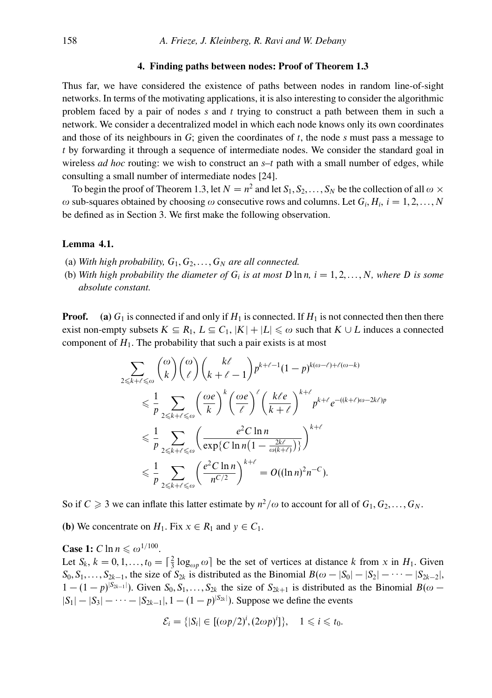#### **4. Finding paths between nodes: Proof of Theorem 1.3**

Thus far, we have considered the existence of paths between nodes in random line-of-sight networks. In terms of the motivating applications, it is also interesting to consider the algorithmic problem faced by a pair of nodes *s* and *t* trying to construct a path between them in such a network. We consider a decentralized model in which each node knows only its own coordinates and those of its neighbours in *G*; given the coordinates of *t*, the node *s* must pass a message to *t* by forwarding it through a sequence of intermediate nodes. We consider the standard goal in wireless *ad hoc* routing: we wish to construct an *s*–*t* path with a small number of edges, while consulting a small number of intermediate nodes [24].

To begin the proof of Theorem 1.3, let  $N = n^2$  and let  $S_1, S_2, \ldots, S_N$  be the collection of all  $\omega \times$  $ω$  sub-squares obtained by choosing  $ω$  consecutive rows and columns. Let  $G_i, H_i, i = 1, 2, ..., N$ be defined as in Section 3. We first make the following observation.

#### **Lemma 4.1.**

- (a) *With high probability,*  $G_1, G_2, \ldots, G_N$  *are all connected.*
- (b) *With high probability the diameter of*  $G_i$  *is at most*  $D \ln n$ ,  $i = 1, 2, \ldots, N$ *, where*  $D$  *is some absolute constant.*

**Proof.** (a)  $G_1$  is connected if and only if  $H_1$  is connected. If  $H_1$  is not connected then then there exist non-empty subsets  $K \subseteq R_1, L \subseteq C_1, |K| + |L| \leq \omega$  such that  $K \cup L$  induces a connected component of  $H_1$ . The probability that such a pair exists is at most

$$
\sum_{2 \le k+\ell \le \omega} {\omega \choose k} {\omega \choose \ell} {k\ell \choose k+\ell-1} p^{k+\ell-1} (1-p)^{k(\omega-\ell)+\ell(\omega-k)}
$$
  

$$
\le \frac{1}{p} \sum_{2 \le k+\ell \le \omega} {\omega \left(\frac{\omega e}{k}\right)^k} {\omega e \choose \ell}^{\ell} \left(\frac{k\ell e}{k+\ell}\right)^{k+\ell} p^{k+\ell} e^{-((k+\ell)\omega-2k\ell)p}
$$
  

$$
\le \frac{1}{p} \sum_{2 \le k+\ell \le \omega} {\omega e^2 C \ln n \over \exp\{C \ln n (1 - \frac{2k\ell}{\omega(k+\ell)})\}}^{k+\ell}
$$
  

$$
\le \frac{1}{p} \sum_{2 \le k+\ell \le \omega} {\omega e^2 C \ln n \over n^{C/2}}^{k+\ell} = O((\ln n)^2 n^{-C}).
$$

So if  $C \ge 3$  we can inflate this latter estimate by  $n^2/\omega$  to account for all of  $G_1, G_2, \ldots, G_N$ .

**(b)** We concentrate on  $H_1$ . Fix  $x \in R_1$  and  $y \in C_1$ .

**Case 1:**  $C \ln n \leq \omega^{1/100}$ . Let  $S_k$ ,  $k = 0, 1, \ldots, t_0 = \left[\frac{2}{3} \log_{\omega_p} \omega\right]$  be the set of vertices at distance *k* from *x* in  $H_1$ . Given  $S_0, S_1, \ldots, S_{2k-1}$ , the size of  $S_{2k}$  is distributed as the Binomial  $B(\omega - |S_0| - |S_2| - \cdots - |S_{2k-2}|$ ,  $1 - (1 - p)^{|S_{2k-1}|}$ ). Given  $S_0, S_1, \ldots, S_{2k}$  the size of  $S_{2k+1}$  is distributed as the Binomial *B*( $\omega$  −  $|S_1| − |S_3| − \cdots − |S_{2k-1}|$ , 1 − (1 − *p*)<sup>|S<sub>2k</sub>|</sup>). Suppose we define the events

$$
\mathcal{E}_i = \{ |S_i| \in [(\omega p/2)^i, (2\omega p)^i] \}, \quad 1 \leq i \leq t_0.
$$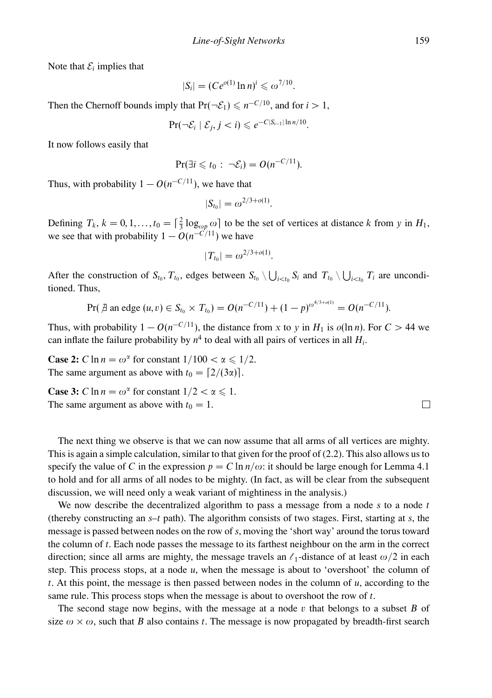Note that  $\mathcal{E}_i$  implies that

$$
|S_i| = (Ce^{o(1)}\ln n)^i \leq \omega^{7/10}.
$$

Then the Chernoff bounds imply that  $Pr(\neg \mathcal{E}_1) \le n^{-C/10}$ , and for *i* > 1,

$$
\Pr(\neg \mathcal{E}_i \mid \mathcal{E}_j, j < i) \leqslant e^{-C|S_{i-1}| \ln n/10}
$$

It now follows easily that

$$
\Pr(\exists i \leq t_0 : \neg \mathcal{E}_i) = O(n^{-C/11}).
$$

Thus, with probability  $1 - O(n^{-C/11})$ , we have that

$$
|S_{t_0}| = \omega^{2/3 + o(1)}.
$$

Defining  $T_k$ ,  $k = 0, 1, \ldots, t_0 = \left[\frac{2}{3} \log_{\omega_p} \omega\right]$  to be the set of vertices at distance *k* from *y* in  $H_1$ , we see that with probability  $1 - O(n^{-C/11})$  we have

$$
|T_{t_0}| = \omega^{2/3 + o(1)}.
$$

After the construction of  $S_{t_0}, T_{t_0}$ , edges between  $S_{t_0} \setminus \bigcup_{i \le t_0} S_i$  and  $T_{t_0} \setminus \bigcup_{i \le t_0} T_i$  are unconditioned. Thus,

$$
Pr(\text{ } \nexists \text{ an edge } (u, v) \in S_{t_0} \times T_{t_0}) = O(n^{-C/11}) + (1-p)^{\omega^{4/3 + o(1)}} = O(n^{-C/11}).
$$

Thus, with probability  $1 - O(n^{-C/11})$ , the distance from *x* to *y* in *H*<sub>1</sub> is  $o(\ln n)$ . For  $C > 44$  we can inflate the failure probability by  $n^4$  to deal with all pairs of vertices in all  $H_i$ .

**Case 2:** *C* ln  $n = \omega^{\alpha}$  for constant  $1/100 < \alpha \le 1/2$ . The same argument as above with  $t_0 = \lfloor 2/(3\alpha) \rfloor$ .

**Case 3:**  $C \ln n = \omega^{\alpha}$  for constant  $1/2 < \alpha \leq 1$ . The same argument as above with  $t_0 = 1$ .

The next thing we observe is that we can now assume that all arms of all vertices are mighty. This is again a simple calculation, similar to that given for the proof of (2.2). This also allows us to specify the value of *C* in the expression  $p = C \ln n / \omega$ : it should be large enough for Lemma 4.1 to hold and for all arms of all nodes to be mighty. (In fact, as will be clear from the subsequent discussion, we will need only a weak variant of mightiness in the analysis.)

We now describe the decentralized algorithm to pass a message from a node *s* to a node *t* (thereby constructing an *s*–*t* path). The algorithm consists of two stages. First, starting at *s*, the message is passed between nodes on the row of *s*, moving the 'short way' around the torus toward the column of *t*. Each node passes the message to its farthest neighbour on the arm in the correct direction; since all arms are mighty, the message travels an  $\ell_1$ -distance of at least  $\omega/2$  in each step. This process stops, at a node *u*, when the message is about to 'overshoot' the column of *t*. At this point, the message is then passed between nodes in the column of *u*, according to the same rule. This process stops when the message is about to overshoot the row of *t*.

The second stage now begins, with the message at a node *v* that belongs to a subset *B* of size  $\omega \times \omega$ , such that *B* also contains *t*. The message is now propagated by breadth-first search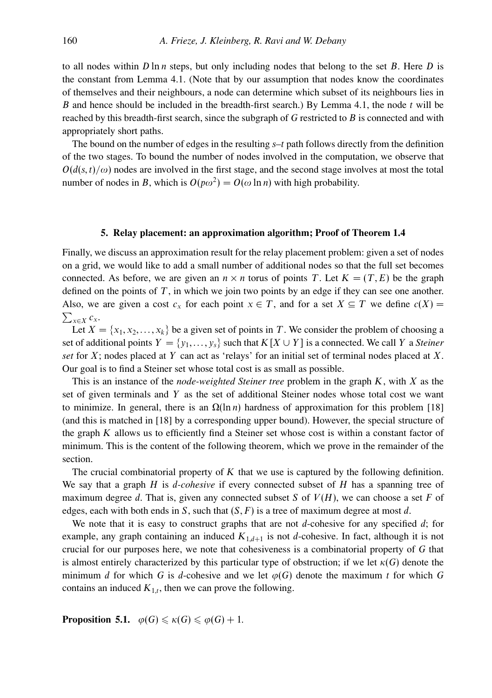to all nodes within *D* ln *n* steps, but only including nodes that belong to the set *B*. Here *D* is the constant from Lemma 4.1. (Note that by our assumption that nodes know the coordinates of themselves and their neighbours, a node can determine which subset of its neighbours lies in *B* and hence should be included in the breadth-first search.) By Lemma 4.1, the node *t* will be reached by this breadth-first search, since the subgraph of *G* restricted to *B* is connected and with appropriately short paths.

The bound on the number of edges in the resulting *s*–*t* path follows directly from the definition of the two stages. To bound the number of nodes involved in the computation, we observe that  $O(d(s,t)/\omega)$  nodes are involved in the first stage, and the second stage involves at most the total number of nodes in *B*, which is  $O(p\omega^2) = O(\omega \ln n)$  with high probability.

# **5. Relay placement: an approximation algorithm; Proof of Theorem 1.4**

Finally, we discuss an approximation result for the relay placement problem: given a set of nodes on a grid, we would like to add a small number of additional nodes so that the full set becomes connected. As before, we are given an  $n \times n$  torus of points *T*. Let  $K = (T, E)$  be the graph defined on the points of *T*, in which we join two points by an edge if they can see one another. Also, we are given a cost  $c_x$  for each point  $x \in T$ , and for a set  $X \subseteq T$  we define  $c(X) =$  $\sum_{x \in X} c_x$ .

Let  $X = \{x_1, x_2, \ldots, x_k\}$  be a given set of points in *T*. We consider the problem of choosing a set of additional points  $Y = \{y_1, \ldots, y_s\}$  such that  $K[X \cup Y]$  is a connected. We call *Y* a *Steiner set* for *X*; nodes placed at *Y* can act as 'relays' for an initial set of terminal nodes placed at *X*. Our goal is to find a Steiner set whose total cost is as small as possible.

This is an instance of the *node-weighted Steiner tree* problem in the graph *K*, with *X* as the set of given terminals and *Y* as the set of additional Steiner nodes whose total cost we want to minimize. In general, there is an  $\Omega(\ln n)$  hardness of approximation for this problem [18] (and this is matched in [18] by a corresponding upper bound). However, the special structure of the graph *K* allows us to efficiently find a Steiner set whose cost is within a constant factor of minimum. This is the content of the following theorem, which we prove in the remainder of the section.

The crucial combinatorial property of *K* that we use is captured by the following definition. We say that a graph *H* is *d-cohesive* if every connected subset of *H* has a spanning tree of maximum degree *d*. That is, given any connected subset *S* of *V*(*H*), we can choose a set *F* of edges, each with both ends in *S*, such that (*S,F*) is a tree of maximum degree at most *d*.

We note that it is easy to construct graphs that are not *d*-cohesive for any specified *d*; for example, any graph containing an induced  $K_{1,d+1}$  is not *d*-cohesive. In fact, although it is not crucial for our purposes here, we note that cohesiveness is a combinatorial property of *G* that is almost entirely characterized by this particular type of obstruction; if we let  $\kappa(G)$  denote the minimum *d* for which *G* is *d*-cohesive and we let  $\varphi(G)$  denote the maximum *t* for which *G* contains an induced  $K_{1,t}$ , then we can prove the following.

**Proposition 5.1.**  $\varphi(G) \leq \kappa(G) \leq \varphi(G)+1$ .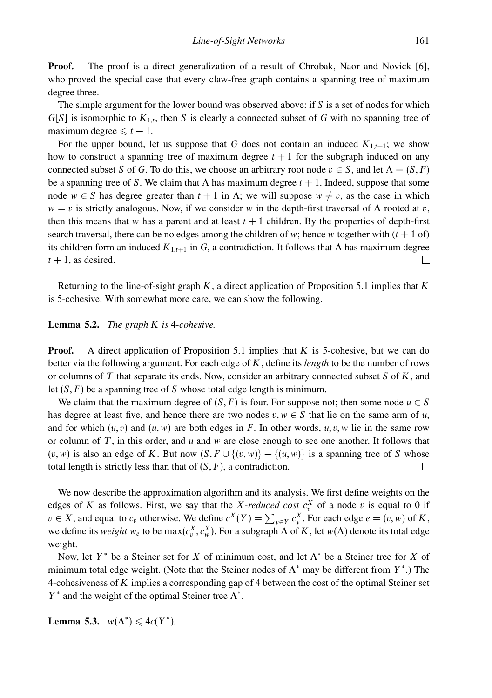**Proof.** The proof is a direct generalization of a result of Chrobak, Naor and Novick [6], who proved the special case that every claw-free graph contains a spanning tree of maximum degree three.

The simple argument for the lower bound was observed above: if *S* is a set of nodes for which  $G[S]$  is isomorphic to  $K_{1,t}$ , then *S* is clearly a connected subset of *G* with no spanning tree of maximum degree  $\leq t-1$ .

For the upper bound, let us suppose that *G* does not contain an induced  $K_{1,t+1}$ ; we show how to construct a spanning tree of maximum degree  $t + 1$  for the subgraph induced on any connected subset *S* of *G*. To do this, we choose an arbitrary root node  $v \in S$ , and let  $\Lambda = (S, F)$ be a spanning tree of *S*. We claim that  $\Lambda$  has maximum degree  $t + 1$ . Indeed, suppose that some node  $w \in S$  has degree greater than  $t + 1$  in  $\Lambda$ ; we will suppose  $w \neq v$ , as the case in which  $w = v$  is strictly analogous. Now, if we consider *w* in the depth-first traversal of  $\Lambda$  rooted at *v*, then this means that *w* has a parent and at least  $t + 1$  children. By the properties of depth-first search traversal, there can be no edges among the children of *w*; hence *w* together with  $(t + 1)$  of) its children form an induced  $K_{1,t+1}$  in *G*, a contradiction. It follows that  $\Lambda$  has maximum degree  $t + 1$ , as desired. П

Returning to the line-of-sight graph *K*, a direct application of Proposition 5.1 implies that *K* is 5-cohesive. With somewhat more care, we can show the following.

#### **Lemma 5.2.** *The graph K is* 4*-cohesive.*

**Proof.** A direct application of Proposition 5.1 implies that *K* is 5-cohesive, but we can do better via the following argument. For each edge of *K*, define its *length* to be the number of rows or columns of *T* that separate its ends. Now, consider an arbitrary connected subset *S* of *K*, and let (*S,F*) be a spanning tree of *S* whose total edge length is minimum.

We claim that the maximum degree of  $(S, F)$  is four. For suppose not; then some node  $u \in S$ has degree at least five, and hence there are two nodes  $v, w \in S$  that lie on the same arm of *u*, and for which  $(u, v)$  and  $(u, w)$  are both edges in *F*. In other words,  $u, v, w$  lie in the same row or column of *T*, in this order, and *u* and *w* are close enough to see one another. It follows that (*v,w*) is also an edge of *K*. But now (*S,F* ∪ {(*v,w*)}−{(*u, w*)} is a spanning tree of *S* whose total length is strictly less than that of  $(S, F)$ , a contradiction.  $\Box$ 

We now describe the approximation algorithm and its analysis. We first define weights on the edges of *K* as follows. First, we say that the *X-reduced cost*  $c_v^X$  of a node *v* is equal to 0 if *v* ∈ *X*, and equal to *c<sub>v</sub>* otherwise. We define  $c^X(Y) = \sum_{y \in Y} c_y^X$ . For each edge *e* = (*v,w*) of *K*, we define its *weight*  $w_e$  to be  $max(c_v^X, c_w^X)$ . For a subgraph  $\Lambda$  of  $K$ , let  $w(\Lambda)$  denote its total edge weight.

Now, let *Y* <sup>∗</sup> be a Steiner set for *X* of minimum cost, and let Λ<sup>∗</sup> be a Steiner tree for *X* of minimum total edge weight. (Note that the Steiner nodes of  $\Lambda^*$  may be different from  $Y^*$ .) The 4-cohesiveness of *K* implies a corresponding gap of 4 between the cost of the optimal Steiner set  $Y^*$  and the weight of the optimal Steiner tree  $\Lambda^*$ .

**Lemma 5.3.**  $w(\Lambda^*) \leq 4c(Y^*)$ .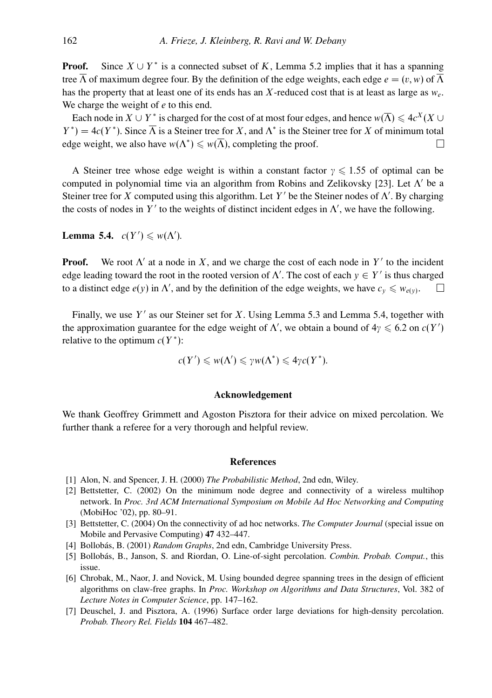**Proof.** Since  $X \cup Y^*$  is a connected subset of K, Lemma 5.2 implies that it has a spanning tree  $\overline{\Lambda}$  of maximum degree four. By the definition of the edge weights, each edge  $e = (v, w)$  of  $\overline{\Lambda}$ has the property that at least one of its ends has an *X*-reduced cost that is at least as large as *we*. We charge the weight of *e* to this end.

Each node in  $X \cup Y^*$  is charged for the cost of at most four edges, and hence  $w(\overline{\Lambda}) \leq 4c^X(X \cup$  $Y^*$ ) = 4*c*(*Y*<sup>\*</sup>). Since  $\overline{\Lambda}$  is a Steiner tree for *X*, and  $\Lambda^*$  is the Steiner tree for *X* of minimum total edge weight, we also have  $w(\Lambda^*) \leq w(\overline{\Lambda})$ , completing the proof. П

A Steiner tree whose edge weight is within a constant factor  $\gamma \leq 1.55$  of optimal can be computed in polynomial time via an algorithm from Robins and Zelikovsky [23]. Let  $\Lambda'$  be a Steiner tree for *X* computed using this algorithm. Let *Y'* be the Steiner nodes of  $\Lambda'$ . By charging the costs of nodes in  $Y'$  to the weights of distinct incident edges in  $\Lambda'$ , we have the following.

**Lemma 5.4.**  $c(Y') \leq w(\Lambda')$ .

**Proof.** We root  $\Lambda'$  at a node in X, and we charge the cost of each node in  $Y'$  to the incident edge leading toward the root in the rooted version of  $\Lambda'$ . The cost of each  $y \in Y'$  is thus charged to a distinct edge  $e(y)$  in  $\Lambda'$ , and by the definition of the edge weights, we have  $c_y \leq v_{e(y)}$ .

Finally, we use Y' as our Steiner set for *X*. Using Lemma 5.3 and Lemma 5.4, together with the approximation guarantee for the edge weight of  $\Lambda'$ , we obtain a bound of  $4\gamma \leq 6.2$  on  $c(Y')$ relative to the optimum  $c(Y^*)$ :

$$
c(Y') \leqslant w(\Lambda') \leqslant \gamma w(\Lambda^*) \leqslant 4\gamma c(Y^*).
$$

# **Acknowledgement**

We thank Geoffrey Grimmett and Agoston Pisztora for their advice on mixed percolation. We further thank a referee for a very thorough and helpful review.

# **References**

- [1] Alon, N. and Spencer, J. H. (2000) *The Probabilistic Method*, 2nd edn, Wiley.
- [2] Bettstetter, C. (2002) On the minimum node degree and connectivity of a wireless multihop network. In *Proc. 3rd ACM International Symposium on Mobile Ad Hoc Networking and Computing* (MobiHoc '02), pp. 80–91.
- [3] Bettstetter, C. (2004) On the connectivity of ad hoc networks. *The Computer Journal* (special issue on Mobile and Pervasive Computing) **47** 432–447.
- [4] Bollobás, B. (2001) *Random Graphs*, 2nd edn, Cambridge University Press.
- [5] Bollobás, B., Janson, S. and Riordan, O. Line-of-sight percolation. *Combin. Probab. Comput.*, this issue.
- [6] Chrobak, M., Naor, J. and Novick, M. Using bounded degree spanning trees in the design of efficient algorithms on claw-free graphs. In *Proc. Workshop on Algorithms and Data Structures*, Vol. 382 of *Lecture Notes in Computer Science*, pp. 147–162.
- [7] Deuschel, J. and Pisztora, A. (1996) Surface order large deviations for high-density percolation. *Probab. Theory Rel. Fields* **104** 467–482.